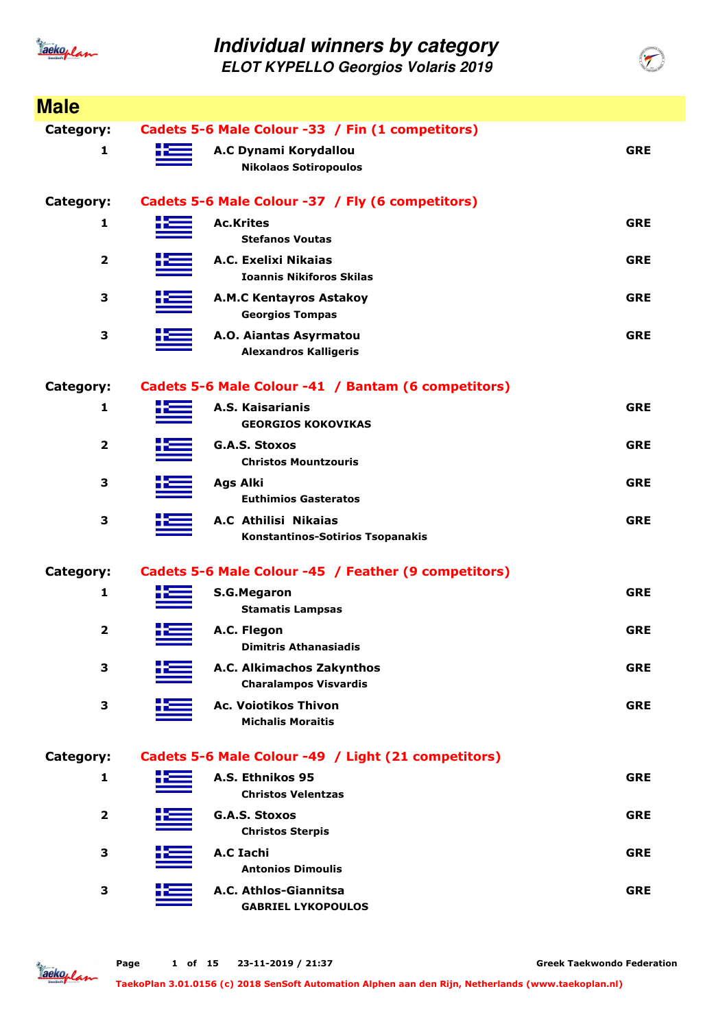

**ELOT KYPELLO Georgios Volaris 2019**

| <b>Male</b>             |                  |                                                                 |            |
|-------------------------|------------------|-----------------------------------------------------------------|------------|
| Category:               |                  | Cadets 5-6 Male Colour -33 / Fin (1 competitors)                |            |
| 1                       |                  | A.C Dynami Korydallou<br><b>Nikolaos Sotiropoulos</b>           | <b>GRE</b> |
| <b>Category:</b>        |                  | Cadets 5-6 Male Colour -37 / Fly (6 competitors)                |            |
| 1                       | <b>Ac.Krites</b> | <b>Stefanos Voutas</b>                                          | <b>GRE</b> |
| $\overline{\mathbf{2}}$ |                  | A.C. Exelixi Nikaias<br><b>Ioannis Nikiforos Skilas</b>         | <b>GRE</b> |
| 3                       |                  | <b>A.M.C Kentayros Astakoy</b><br><b>Georgios Tompas</b>        | <b>GRE</b> |
| 3                       |                  | A.O. Aiantas Asyrmatou<br><b>Alexandros Kalligeris</b>          | <b>GRE</b> |
| <b>Category:</b>        |                  | Cadets 5-6 Male Colour -41 / Bantam (6 competitors)             |            |
| 1                       |                  | A.S. Kaisarianis<br><b>GEORGIOS KOKOVIKAS</b>                   | <b>GRE</b> |
| $\overline{\mathbf{2}}$ |                  | <b>G.A.S. Stoxos</b><br><b>Christos Mountzouris</b>             | <b>GRE</b> |
| 3                       | <b>Ags Alki</b>  | <b>Euthimios Gasteratos</b>                                     | <b>GRE</b> |
| 3                       |                  | A.C Athilisi Nikaias<br><b>Konstantinos-Sotirios Tsopanakis</b> | <b>GRE</b> |
| <b>Category:</b>        |                  | Cadets 5-6 Male Colour -45 / Feather (9 competitors)            |            |
| 1                       |                  | <b>S.G.Megaron</b><br><b>Stamatis Lampsas</b>                   | <b>GRE</b> |
| 2                       | 45               | A.C. Flegon<br><b>Dimitris Athanasiadis</b>                     | <b>GRE</b> |
| 3                       |                  | A.C. Alkimachos Zakynthos<br><b>Charalampos Visvardis</b>       | <b>GRE</b> |
| 3                       |                  | <b>Ac. Voiotikos Thivon</b><br><b>Michalis Moraitis</b>         | <b>GRE</b> |
| <b>Category:</b>        |                  | Cadets 5-6 Male Colour -49 / Light (21 competitors)             |            |
| 1                       |                  | A.S. Ethnikos 95<br><b>Christos Velentzas</b>                   | <b>GRE</b> |
| 2                       |                  | <b>G.A.S. Stoxos</b><br><b>Christos Sterpis</b>                 | <b>GRE</b> |
| 3                       | <b>A.C Iachi</b> | <b>Antonios Dimoulis</b>                                        | <b>GRE</b> |
| 3                       |                  | A.C. Athlos-Giannitsa<br><b>GABRIEL LYKOPOULOS</b>              | <b>GRE</b> |

Jackoplan

**Greek Taekwondo Federation**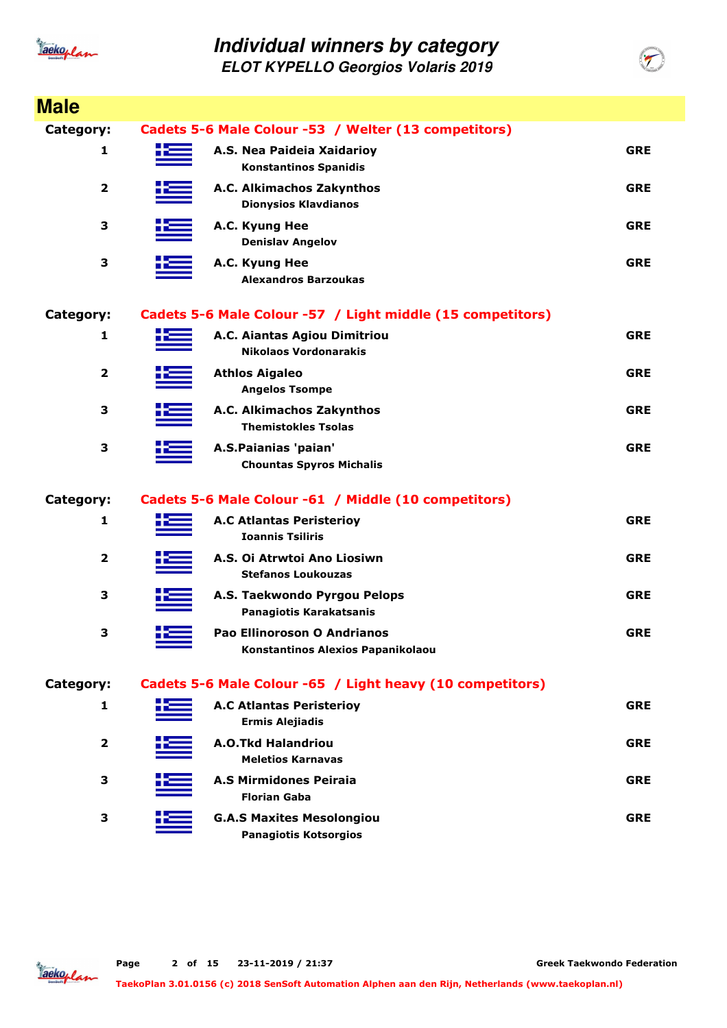

**ELOT KYPELLO Georgios Volaris 2019**

| <b>Male</b>    |    |                                                                  |            |
|----------------|----|------------------------------------------------------------------|------------|
| Category:      |    | Cadets 5-6 Male Colour -53 / Welter (13 competitors)             |            |
| 1              | æ  | A.S. Nea Paideia Xaidarioy<br><b>Konstantinos Spanidis</b>       | <b>GRE</b> |
| $\overline{2}$ |    | A.C. Alkimachos Zakynthos<br><b>Dionysios Klavdianos</b>         | <b>GRE</b> |
| 3              |    | A.C. Kyung Hee<br><b>Denislav Angelov</b>                        | <b>GRE</b> |
| 3              |    | A.C. Kyung Hee<br><b>Alexandros Barzoukas</b>                    | <b>GRE</b> |
| Category:      |    | Cadets 5-6 Male Colour -57 / Light middle (15 competitors)       |            |
| 1              |    | A.C. Aiantas Agiou Dimitriou<br><b>Nikolaos Vordonarakis</b>     | <b>GRE</b> |
| 2              |    | <b>Athlos Aigaleo</b><br><b>Angelos Tsompe</b>                   | <b>GRE</b> |
| 3              |    | A.C. Alkimachos Zakynthos<br><b>Themistokles Tsolas</b>          | <b>GRE</b> |
| 3              |    | A.S.Paianias 'paian'<br><b>Chountas Spyros Michalis</b>          | <b>GRE</b> |
| Category:      |    | Cadets 5-6 Male Colour -61 / Middle (10 competitors)             |            |
| 1              |    | <b>A.C Atlantas Peristerioy</b><br><b>Ioannis Tsiliris</b>       | <b>GRE</b> |
| $\overline{2}$ |    | A.S. Oi Atrwtoi Ano Liosiwn<br><b>Stefanos Loukouzas</b>         | <b>GRE</b> |
| 3              |    | A.S. Taekwondo Pyrgou Pelops<br>Panagiotis Karakatsanis          | <b>GRE</b> |
| 3              | ╋═ | Pao Ellinoroson O Andrianos<br>Konstantinos Alexios Papanikolaou | <b>GRE</b> |
| Category:      |    | Cadets 5-6 Male Colour -65 / Light heavy (10 competitors)        |            |
| 1              |    | <b>A.C Atlantas Peristeriov</b><br><b>Ermis Alejiadis</b>        | <b>GRE</b> |
| 2              |    | <b>A.O.Tkd Halandriou</b><br><b>Meletios Karnavas</b>            | <b>GRE</b> |
| 3              |    | <b>A.S Mirmidones Peiraia</b><br><b>Florian Gaba</b>             | <b>GRE</b> |
| 3              |    | <b>G.A.S Maxites Mesolongiou</b><br><b>Panagiotis Kotsorgios</b> | <b>GRE</b> |



**Greek Taekwondo Federation**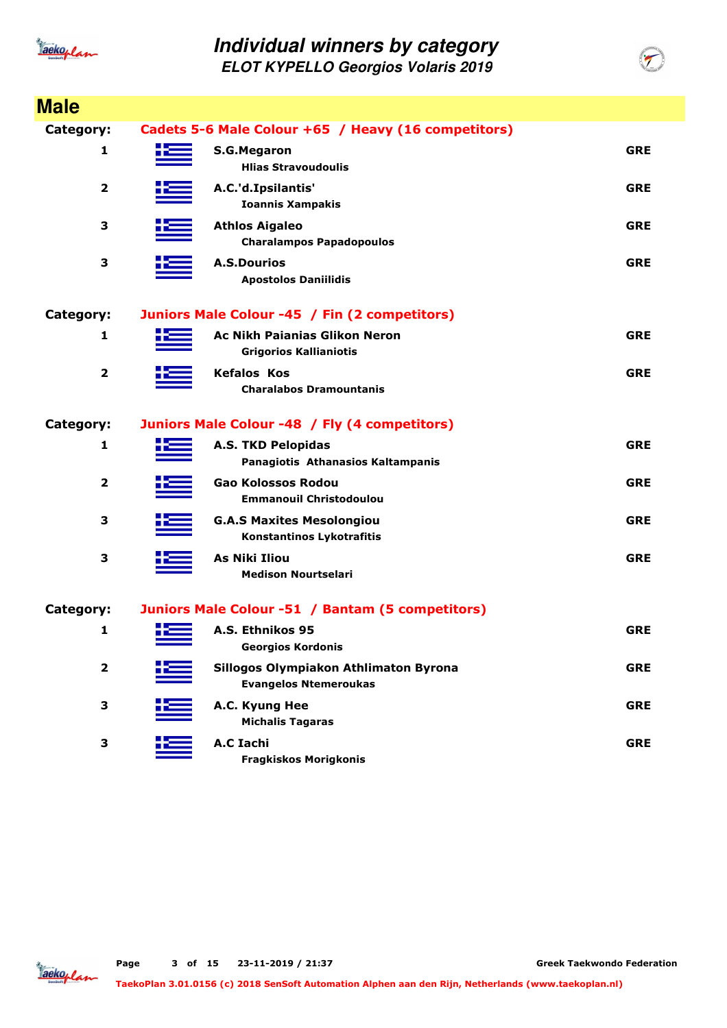

| <b>Male</b>             |                                                                       |            |
|-------------------------|-----------------------------------------------------------------------|------------|
| Category:               | Cadets 5-6 Male Colour +65 / Heavy (16 competitors)                   |            |
| 1                       | <b>S.G.Megaron</b><br><b>Hlias Stravoudoulis</b>                      | <b>GRE</b> |
| $\overline{\mathbf{2}}$ | A.C.'d.Ipsilantis'<br><b>Ioannis Xampakis</b>                         | <b>GRE</b> |
| 3                       | <b>Athlos Aigaleo</b><br><b>Charalampos Papadopoulos</b>              | <b>GRE</b> |
| 3                       | <b>A.S.Dourios</b><br><b>Apostolos Daniilidis</b>                     | <b>GRE</b> |
| Category:               | Juniors Male Colour -45 / Fin (2 competitors)                         |            |
| 1                       | <b>Ac Nikh Paianias Glikon Neron</b><br><b>Grigorios Kallianiotis</b> | <b>GRE</b> |
| $\overline{\mathbf{2}}$ | <b>Kefalos Kos</b><br><b>Charalabos Dramountanis</b>                  | <b>GRE</b> |
| Category:               | Juniors Male Colour -48 / Fly (4 competitors)                         |            |
| 1                       | <b>A.S. TKD Pelopidas</b><br>Panagiotis Athanasios Kaltampanis        | <b>GRE</b> |
| 2                       | <b>Gao Kolossos Rodou</b><br><b>Emmanouil Christodoulou</b>           | <b>GRE</b> |
| 3                       | <b>G.A.S Maxites Mesolongiou</b><br><b>Konstantinos Lykotrafitis</b>  | <b>GRE</b> |
| 3                       | <b>As Niki Iliou</b><br><b>Medison Nourtselari</b>                    | <b>GRE</b> |
| Category:               | Juniors Male Colour -51 / Bantam (5 competitors)                      |            |
| 1                       | A.S. Ethnikos 95<br><b>Georgios Kordonis</b>                          | <b>GRE</b> |
| $\mathbf{2}$            | Sillogos Olympiakon Athlimaton Byrona<br><b>Evangelos Ntemeroukas</b> | <b>GRE</b> |
| 3                       | A.C. Kyung Hee<br><b>Michalis Tagaras</b>                             | <b>GRE</b> |
| 3                       | <b>A.C Iachi</b><br><b>Fragkiskos Morigkonis</b>                      | <b>GRE</b> |

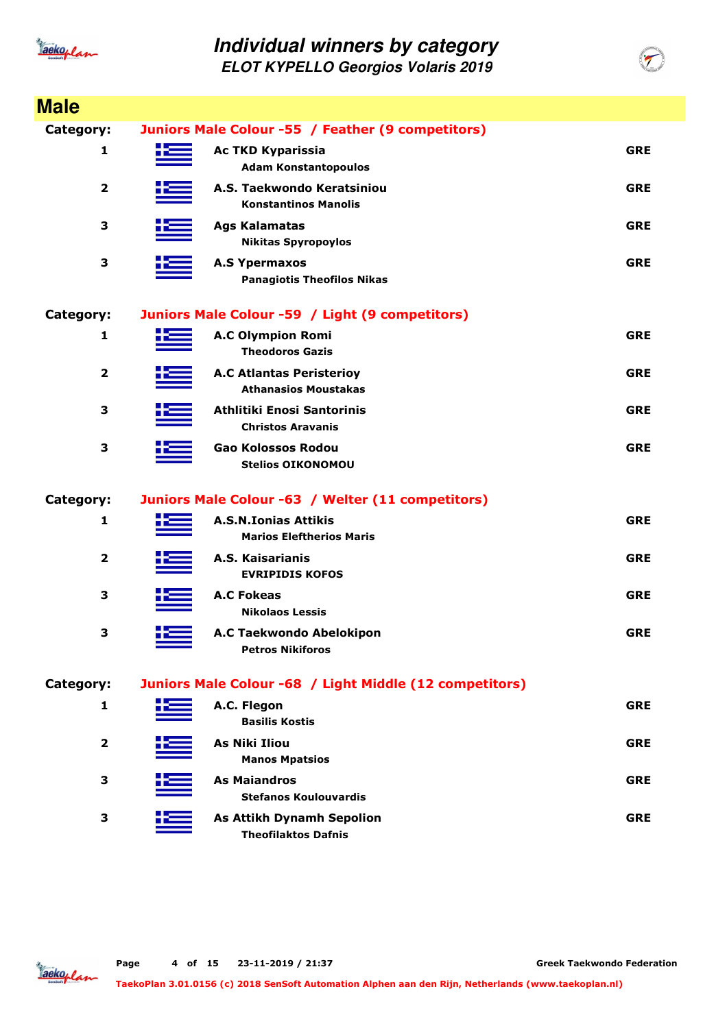

| <b>Male</b>      |     |                                                                |            |
|------------------|-----|----------------------------------------------------------------|------------|
| <b>Category:</b> |     | Juniors Male Colour -55 / Feather (9 competitors)              |            |
| 1                |     | <b>Ac TKD Kyparissia</b><br><b>Adam Konstantopoulos</b>        | <b>GRE</b> |
| 2                |     | A.S. Taekwondo Keratsiniou<br><b>Konstantinos Manolis</b>      | <b>GRE</b> |
| 3                |     | <b>Ags Kalamatas</b><br><b>Nikitas Spyropoylos</b>             | <b>GRE</b> |
| 3                |     | <b>A.S Ypermaxos</b><br><b>Panagiotis Theofilos Nikas</b>      | <b>GRE</b> |
| Category:        |     | Juniors Male Colour -59 / Light (9 competitors)                |            |
| 1                |     | <b>A.C Olympion Romi</b><br><b>Theodoros Gazis</b>             | <b>GRE</b> |
| $\overline{2}$   |     | <b>A.C Atlantas Peristerioy</b><br><b>Athanasios Moustakas</b> | <b>GRE</b> |
| 3                |     | <b>Athlitiki Enosi Santorinis</b><br><b>Christos Aravanis</b>  | <b>GRE</b> |
| 3                |     | Gao Kolossos Rodou<br><b>Stelios OIKONOMOU</b>                 | <b>GRE</b> |
| Category:        |     | Juniors Male Colour -63 / Welter (11 competitors)              |            |
| 1                |     | <b>A.S.N.Ionias Attikis</b><br><b>Marios Eleftherios Maris</b> | <b>GRE</b> |
| 2                |     | A.S. Kaisarianis<br><b>EVRIPIDIS KOFOS</b>                     | <b>GRE</b> |
| 3                |     | <b>A.C Fokeas</b><br><b>Nikolaos Lessis</b>                    | <b>GRE</b> |
| 3                | ╈══ | A.C Taekwondo Abelokipon<br><b>Petros Nikiforos</b>            | <b>GRE</b> |
| Category:        |     | Juniors Male Colour -68 / Light Middle (12 competitors)        |            |
| 1                |     | A.C. Flegon<br><b>Basilis Kostis</b>                           | <b>GRE</b> |
| $\mathbf{2}$     |     | <b>As Niki Iliou</b><br><b>Manos Mpatsios</b>                  | <b>GRE</b> |
| 3                |     | <b>As Maiandros</b><br><b>Stefanos Koulouvardis</b>            | <b>GRE</b> |
| 3                |     | <b>As Attikh Dynamh Sepolion</b><br><b>Theofilaktos Dafnis</b> | <b>GRE</b> |

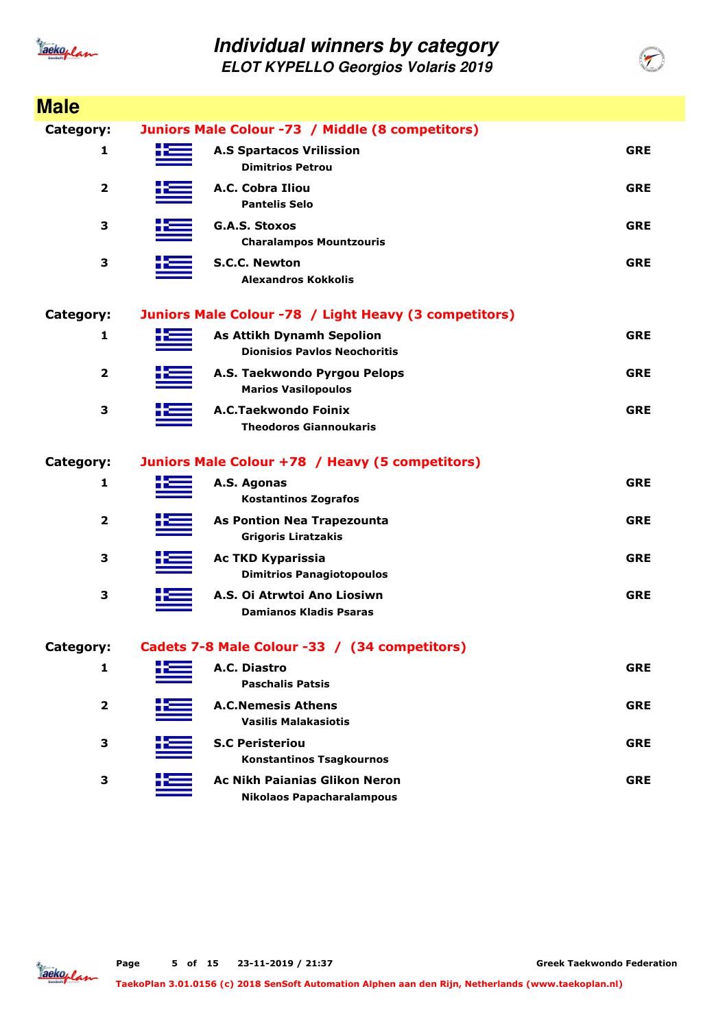

| <b>Male</b>             |                                                                          |            |
|-------------------------|--------------------------------------------------------------------------|------------|
| <b>Category:</b>        | Juniors Male Colour -73 / Middle (8 competitors)                         |            |
| 1                       | <b>A.S Spartacos Vrilission</b><br><b>Dimitrios Petrou</b>               | <b>GRE</b> |
| $\overline{\mathbf{2}}$ | A.C. Cobra Iliou<br><b>Pantelis Selo</b>                                 | <b>GRE</b> |
| 3                       | <b>G.A.S. Stoxos</b><br><b>Charalampos Mountzouris</b>                   | <b>GRE</b> |
| 3                       | <b>S.C.C. Newton</b><br><b>Alexandros Kokkolis</b>                       | <b>GRE</b> |
| <b>Category:</b>        | Juniors Male Colour -78 / Light Heavy (3 competitors)                    |            |
| 1                       | <b>As Attikh Dynamh Sepolion</b><br><b>Dionisios Pavlos Neochoritis</b>  | <b>GRE</b> |
| $\overline{\mathbf{2}}$ | A.S. Taekwondo Pyrgou Pelops<br><b>Marios Vasilopoulos</b>               | <b>GRE</b> |
| 3                       | A.C.Taekwondo Foinix<br><b>Theodoros Giannoukaris</b>                    | <b>GRE</b> |
| <b>Category:</b>        | Juniors Male Colour +78 / Heavy (5 competitors)                          |            |
| 1                       | A.S. Agonas<br><b>Kostantinos Zografos</b>                               | <b>GRE</b> |
| $\overline{2}$          | <b>As Pontion Nea Trapezounta</b><br><b>Grigoris Liratzakis</b>          | <b>GRE</b> |
| 3                       | <b>Ac TKD Kyparissia</b><br><b>Dimitrios Panagiotopoulos</b>             | <b>GRE</b> |
| 3                       | A.S. Oi Atrwtoi Ano Liosiwn<br><b>Damianos Kladis Psaras</b>             | <b>GRE</b> |
| Category:               | Cadets 7-8 Male Colour -33 / (34 competitors)                            |            |
| 1                       | A.C. Diastro<br><b>Paschalis Patsis</b>                                  | <b>GRE</b> |
| 2                       | <b>A.C.Nemesis Athens</b><br><b>Vasilis Malakasiotis</b>                 | <b>GRE</b> |
| З                       | <b>S.C Peristeriou</b><br><b>Konstantinos Tsagkournos</b>                | <b>GRE</b> |
| 3                       | <b>Ac Nikh Pajanias Glikon Neron</b><br><b>Nikolaos Papacharalampous</b> | <b>GRE</b> |

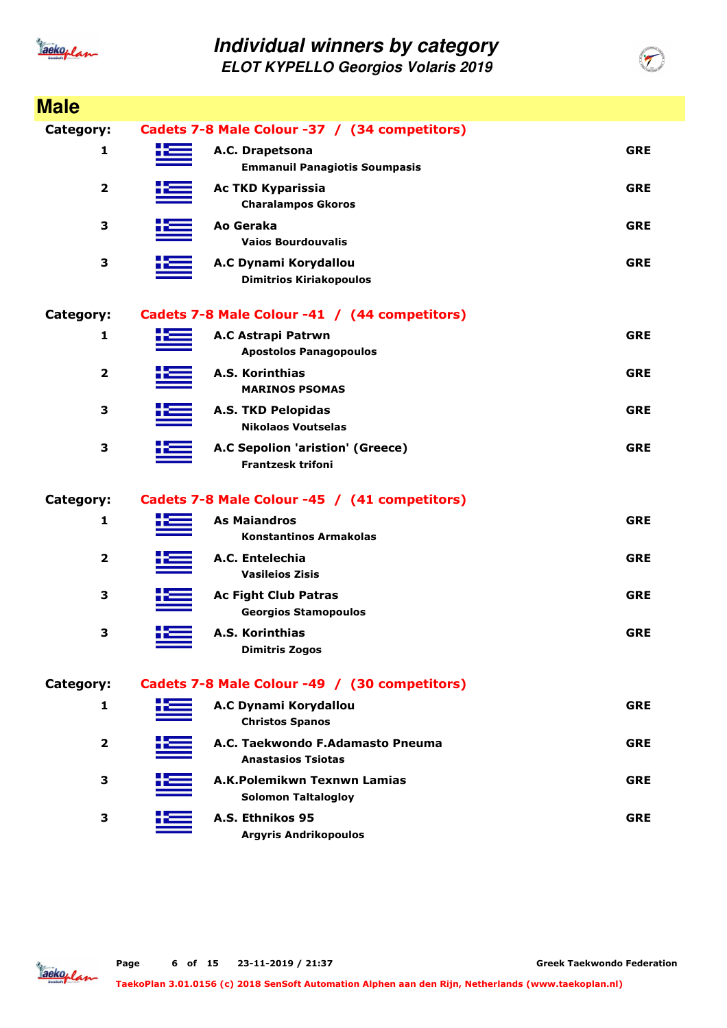

| <b>Male</b>      |     |                                                               |            |
|------------------|-----|---------------------------------------------------------------|------------|
| <b>Category:</b> |     | Cadets 7-8 Male Colour -37 / (34 competitors)                 |            |
| 1                |     | A.C. Drapetsona<br><b>Emmanuil Panagiotis Soumpasis</b>       | <b>GRE</b> |
| 2                |     | <b>Ac TKD Kyparissia</b><br><b>Charalampos Gkoros</b>         | <b>GRE</b> |
| 3                |     | Ao Geraka<br><b>Vaios Bourdouvalis</b>                        | <b>GRE</b> |
| 3                |     | A.C Dynami Korydallou<br><b>Dimitrios Kiriakopoulos</b>       | <b>GRE</b> |
| Category:        |     | Cadets 7-8 Male Colour -41 / (44 competitors)                 |            |
| 1                |     | A.C Astrapi Patrwn<br><b>Apostolos Panagopoulos</b>           | <b>GRE</b> |
| $\overline{2}$   |     | A.S. Korinthias<br><b>MARINOS PSOMAS</b>                      | <b>GRE</b> |
| 3                |     | <b>A.S. TKD Pelopidas</b><br><b>Nikolaos Voutselas</b>        | <b>GRE</b> |
| 3                |     | A.C Sepolion 'aristion' (Greece)<br><b>Frantzesk trifoni</b>  | <b>GRE</b> |
| Category:        |     | Cadets 7-8 Male Colour -45 / (41 competitors)                 |            |
| 1                |     | <b>As Maiandros</b><br><b>Konstantinos Armakolas</b>          | <b>GRE</b> |
| 2                |     | A.C. Entelechia<br><b>Vasileios Zisis</b>                     | <b>GRE</b> |
| 3                |     | <b>Ac Fight Club Patras</b><br><b>Georgios Stamopoulos</b>    | <b>GRE</b> |
| 3                | +== | <b>A.S. Korinthias</b><br><b>Dimitris Zogos</b>               | <b>GRE</b> |
| Category:        |     | Cadets 7-8 Male Colour -49 / (30 competitors)                 |            |
| 1                |     | A.C Dynami Korydallou<br><b>Christos Spanos</b>               | <b>GRE</b> |
| $\mathbf{2}$     |     | A.C. Taekwondo F.Adamasto Pneuma<br><b>Anastasios Tsiotas</b> | <b>GRE</b> |
| 3                |     | A.K.Polemikwn Texnwn Lamias<br><b>Solomon Taltalogloy</b>     | <b>GRE</b> |
| 3                |     | A.S. Ethnikos 95<br><b>Argyris Andrikopoulos</b>              | <b>GRE</b> |

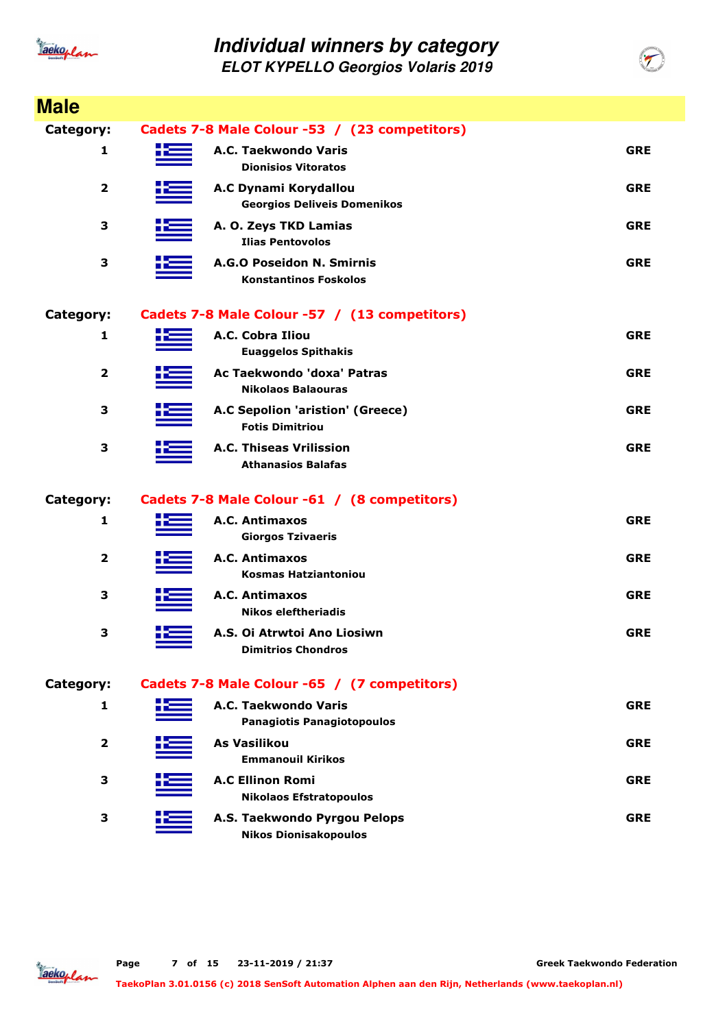

| <b>Male</b>             |                                                              |            |
|-------------------------|--------------------------------------------------------------|------------|
| <b>Category:</b>        | Cadets 7-8 Male Colour -53 / (23 competitors)                |            |
| 1                       | A.C. Taekwondo Varis<br><b>Dionisios Vitoratos</b>           | <b>GRE</b> |
| $\overline{\mathbf{2}}$ | A.C Dynami Korydallou<br><b>Georgios Deliveis Domenikos</b>  | <b>GRE</b> |
| 3                       | A. O. Zeys TKD Lamias<br><b>Ilias Pentovolos</b>             | <b>GRE</b> |
| 3                       | A.G.O Poseidon N. Smirnis<br><b>Konstantinos Foskolos</b>    | <b>GRE</b> |
| Category:               | Cadets 7-8 Male Colour -57 / (13 competitors)                |            |
| 1                       | A.C. Cobra Iliou<br><b>Euaggelos Spithakis</b>               | <b>GRE</b> |
| $\overline{2}$          | Ac Taekwondo 'doxa' Patras<br><b>Nikolaos Balaouras</b>      | <b>GRE</b> |
| 3                       | A.C Sepolion 'aristion' (Greece)<br><b>Fotis Dimitriou</b>   | <b>GRE</b> |
| 3                       | A.C. Thiseas Vrilission<br><b>Athanasios Balafas</b>         | <b>GRE</b> |
| <b>Category:</b>        | Cadets 7-8 Male Colour -61 / (8 competitors)                 |            |
| 1                       | A.C. Antimaxos<br><b>Giorgos Tzivaeris</b>                   | <b>GRE</b> |
| 2                       | A.C. Antimaxos<br><b>Kosmas Hatziantoniou</b>                | <b>GRE</b> |
| 3                       | A.C. Antimaxos<br><b>Nikos eleftheriadis</b>                 | <b>GRE</b> |
| 3                       | A.S. Oi Atrwtoi Ano Liosiwn<br><b>Dimitrios Chondros</b>     | <b>GRE</b> |
| Category:               | Cadets 7-8 Male Colour -65 / (7 competitors)                 |            |
| 1                       | A.C. Taekwondo Varis<br><b>Panagiotis Panagiotopoulos</b>    | <b>GRE</b> |
| $\overline{2}$          | <b>As Vasilikou</b><br><b>Emmanouil Kirikos</b>              | <b>GRE</b> |
| 3                       | <b>A.C Ellinon Romi</b><br><b>Nikolaos Efstratopoulos</b>    | <b>GRE</b> |
| 3                       | A.S. Taekwondo Pyrgou Pelops<br><b>Nikos Dionisakopoulos</b> | <b>GRE</b> |

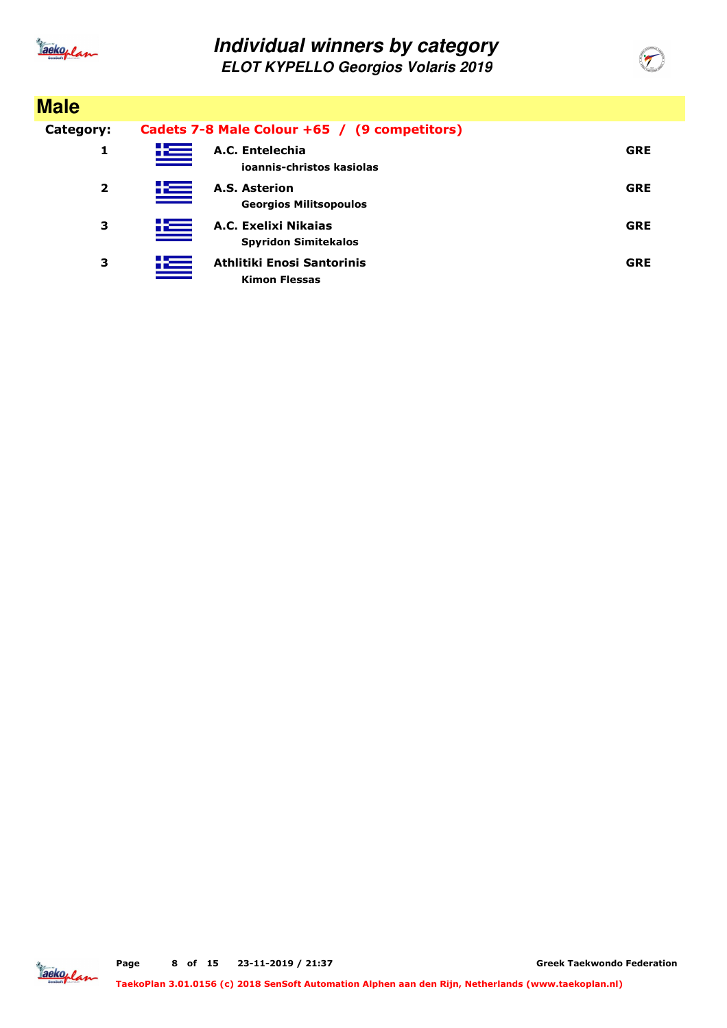

| <b>Male</b>             |               |                                                     |            |
|-------------------------|---------------|-----------------------------------------------------|------------|
| Category:               |               | Cadets 7-8 Male Colour +65 / (9 competitors)        |            |
| 1                       | K             | A.C. Entelechia<br>ioannis-christos kasiolas        | <b>GRE</b> |
| $\overline{\mathbf{2}}$ | <u>ik – </u>  | A.S. Asterion<br><b>Georgios Militsopoulos</b>      | <b>GRE</b> |
| 3                       | <u> + = =</u> | A.C. Exelixi Nikaias<br><b>Spyridon Simitekalos</b> | <b>GRE</b> |
| 3                       | 些             | Athlitiki Enosi Santorinis<br><b>Kimon Flessas</b>  | <b>GRE</b> |

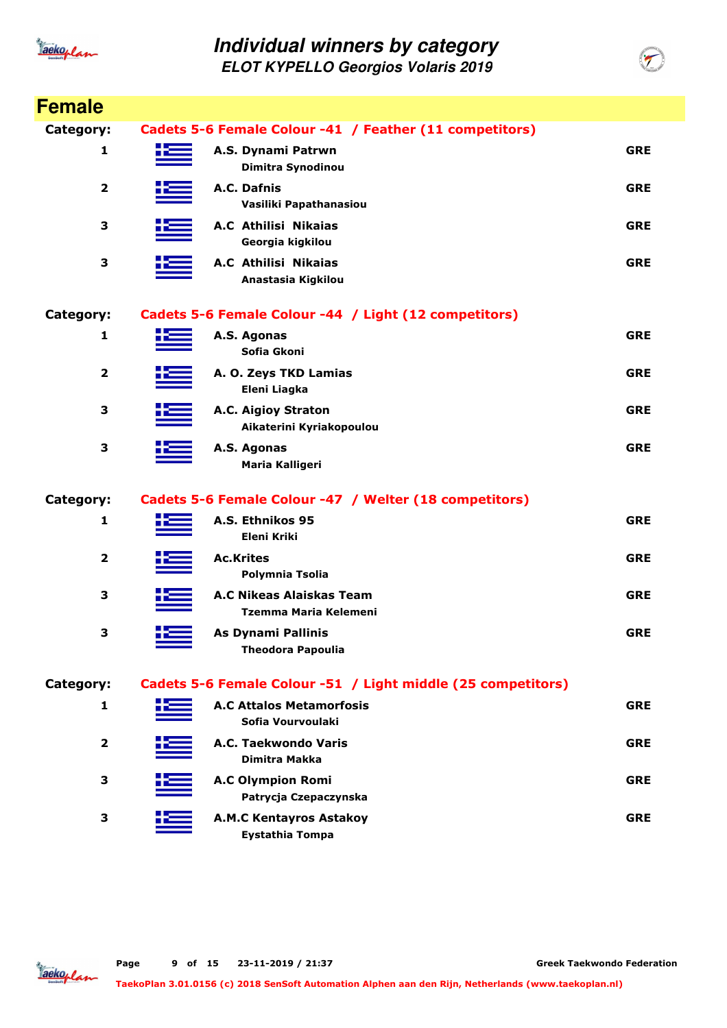

| <b>Female</b>           |    |                                                              |            |
|-------------------------|----|--------------------------------------------------------------|------------|
| Category:               |    | Cadets 5-6 Female Colour -41 / Feather (11 competitors)      |            |
| 1                       | X. | A.S. Dynami Patrwn<br>Dimitra Synodinou                      | <b>GRE</b> |
| 2                       |    | A.C. Dafnis<br>Vasiliki Papathanasiou                        | <b>GRE</b> |
| 3                       |    | A.C Athilisi Nikaias<br>Georgia kigkilou                     | <b>GRE</b> |
| 3                       |    | A.C Athilisi Nikaias<br>Anastasia Kigkilou                   | <b>GRE</b> |
| Category:               |    | Cadets 5-6 Female Colour -44 / Light (12 competitors)        |            |
| 1                       |    | A.S. Agonas<br>Sofia Gkoni                                   | <b>GRE</b> |
| 2                       |    | A. O. Zeys TKD Lamias<br>Eleni Liagka                        | <b>GRE</b> |
| 3                       |    | A.C. Aigioy Straton<br>Aikaterini Kyriakopoulou              | <b>GRE</b> |
| 3                       |    | A.S. Agonas<br>Maria Kalligeri                               | <b>GRE</b> |
| Category:               |    | Cadets 5-6 Female Colour -47 / Welter (18 competitors)       |            |
| 1                       |    | A.S. Ethnikos 95<br><b>Eleni Kriki</b>                       | <b>GRE</b> |
| $\mathbf 2$             |    | <b>Ac.Krites</b><br>Polymnia Tsolia                          | <b>GRE</b> |
| 3                       |    | <b>A.C Nikeas Alaiskas Team</b><br>Tzemma Maria Kelemeni     | <b>GRE</b> |
| 3                       |    | <b>As Dynami Pallinis</b><br><b>Theodora Papoulia</b>        | <b>GRE</b> |
| Category:               |    | Cadets 5-6 Female Colour -51 / Light middle (25 competitors) |            |
| 1                       |    | <b>A.C Attalos Metamorfosis</b><br>Sofia Vourvoulaki         | <b>GRE</b> |
| $\overline{\mathbf{2}}$ |    | A.C. Taekwondo Varis<br><b>Dimitra Makka</b>                 | <b>GRE</b> |
| 3                       |    | <b>A.C Olympion Romi</b><br>Patrycja Czepaczynska            | <b>GRE</b> |
| 3                       |    | <b>A.M.C Kentayros Astakoy</b><br><b>Eystathia Tompa</b>     | <b>GRE</b> |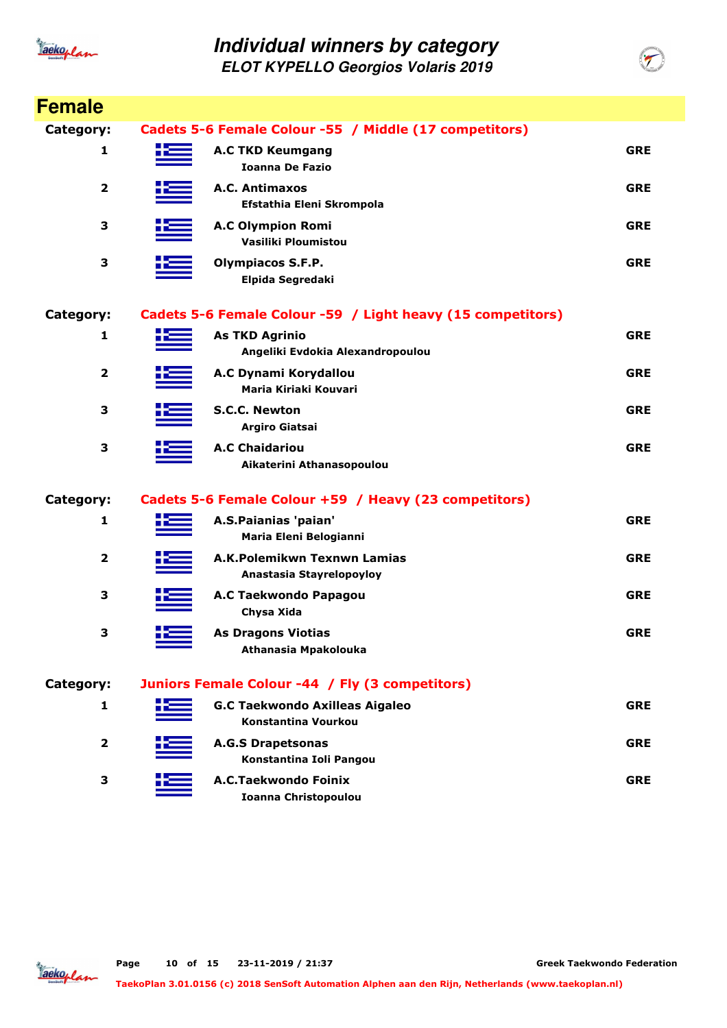

| <b>Female</b> |                                                              |            |
|---------------|--------------------------------------------------------------|------------|
| Category:     | Cadets 5-6 Female Colour -55 / Middle (17 competitors)       |            |
| 1             | <b>A.C TKD Keumgang</b><br><b>Ioanna De Fazio</b>            | <b>GRE</b> |
| $\mathbf{2}$  | A.C. Antimaxos<br>Efstathia Eleni Skrompola                  | <b>GRE</b> |
| 3             | <b>A.C Olympion Romi</b><br>Vasiliki Ploumistou              | <b>GRE</b> |
| 3             | <b>Olympiacos S.F.P.</b><br>Elpida Segredaki                 | <b>GRE</b> |
| Category:     | Cadets 5-6 Female Colour -59 / Light heavy (15 competitors)  |            |
| 1             | <b>As TKD Agrinio</b><br>Angeliki Evdokia Alexandropoulou    | <b>GRE</b> |
| 2             | A.C Dynami Korydallou<br>Maria Kiriaki Kouvari               | <b>GRE</b> |
| 3             | <b>S.C.C. Newton</b><br>Argiro Giatsai                       | <b>GRE</b> |
| З             | <b>A.C Chaidariou</b><br>Aikaterini Athanasopoulou           | <b>GRE</b> |
| Category:     | Cadets 5-6 Female Colour +59 / Heavy (23 competitors)        |            |
| 1             | A.S.Paianias 'paian'<br>Maria Eleni Belogianni               | <b>GRE</b> |
| $\mathbf{2}$  | A.K.Polemikwn Texnwn Lamias<br>Anastasia Stayrelopoyloy      | <b>GRE</b> |
| 3             | A.C Taekwondo Papagou<br>Chysa Xida                          | <b>GRE</b> |
| 3             | <b>As Dragons Viotias</b><br>Athanasia Mpakolouka            | <b>GRE</b> |
| Category:     | Juniors Female Colour -44 / Fly (3 competitors)              |            |
| 1             | <b>G.C Taekwondo Axilleas Aigaleo</b><br>Konstantina Vourkou | <b>GRE</b> |
| 2             | <b>A.G.S Drapetsonas</b><br>Konstantina Ioli Pangou          | <b>GRE</b> |
| 3             | A.C.Taekwondo Foinix<br><b>Ioanna Christopoulou</b>          | <b>GRE</b> |

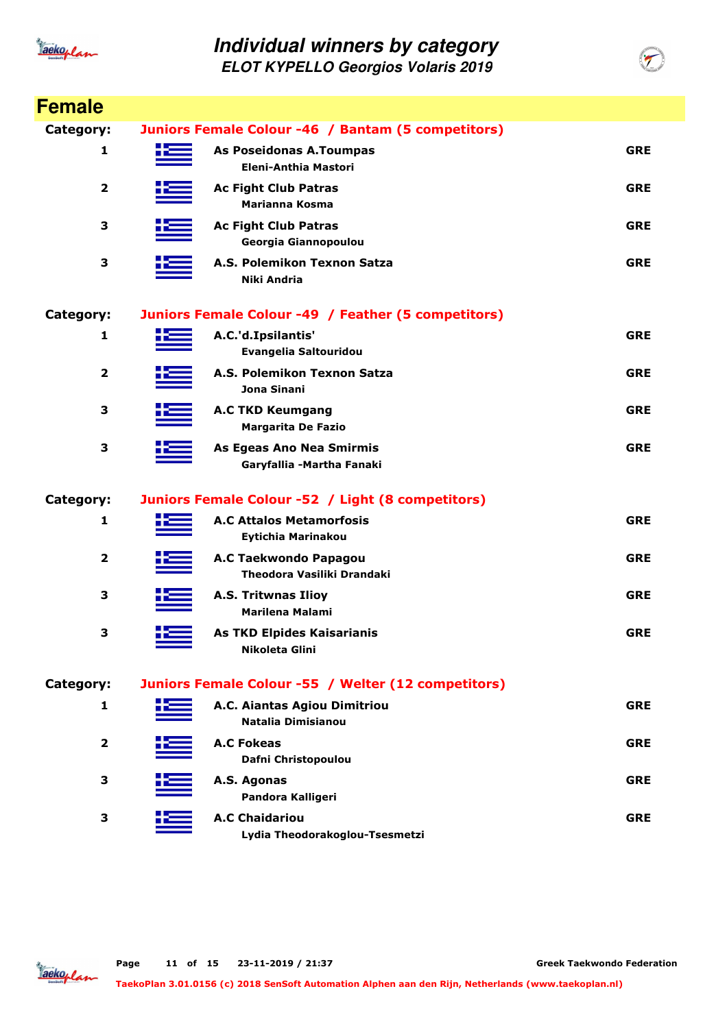

**ELOT KYPELLO Georgios Volaris 2019**

| <b>Female</b>           |                                                              |            |
|-------------------------|--------------------------------------------------------------|------------|
| Category:               | Juniors Female Colour -46 / Bantam (5 competitors)           |            |
| 1                       | As Poseidonas A.Toumpas<br>Eleni-Anthia Mastori              | <b>GRE</b> |
| 2                       | <b>Ac Fight Club Patras</b><br><b>Marianna Kosma</b>         | <b>GRE</b> |
| З                       | <b>Ac Fight Club Patras</b><br>Georgia Giannopoulou          | <b>GRE</b> |
| 3                       | A.S. Polemikon Texnon Satza<br><b>Niki Andria</b>            | <b>GRE</b> |
| Category:               | Juniors Female Colour -49 / Feather (5 competitors)          |            |
| 1                       | A.C.'d.Ipsilantis'<br>Evangelia Saltouridou                  | <b>GRE</b> |
| $\overline{2}$          | A.S. Polemikon Texnon Satza<br>Jona Sinani                   | <b>GRE</b> |
| 3                       | <b>A.C TKD Keumgang</b><br><b>Margarita De Fazio</b>         | <b>GRE</b> |
| 3                       | As Egeas Ano Nea Smirmis<br>Garyfallia -Martha Fanaki        | <b>GRE</b> |
| Category:               | Juniors Female Colour -52 / Light (8 competitors)            |            |
| 1                       | <b>A.C Attalos Metamorfosis</b><br><b>Eytichia Marinakou</b> | <b>GRE</b> |
| $\overline{\mathbf{2}}$ | A.C Taekwondo Papagou<br>Theodora Vasiliki Drandaki          | <b>GRE</b> |
| 3                       | <b>A.S. Tritwnas Ilioy</b><br><b>Marilena Malami</b>         | <b>GRE</b> |
| 3                       | <b>As TKD Elpides Kaisarianis</b><br>Nikoleta Glini          | <b>GRE</b> |
| Category:               | Juniors Female Colour -55 / Welter (12 competitors)          |            |
| 1                       | A.C. Aiantas Agiou Dimitriou<br>Natalia Dimisianou           | <b>GRE</b> |
| $\mathbf{2}$            | <b>A.C Fokeas</b><br>Dafni Christopoulou                     | <b>GRE</b> |
| 3                       | A.S. Agonas<br>Pandora Kalligeri                             | <b>GRE</b> |
| 3                       | <b>A.C Chaidariou</b><br>Lydia Theodorakoglou-Tsesmetzi      | <b>GRE</b> |



**Greek Taekwondo Federation**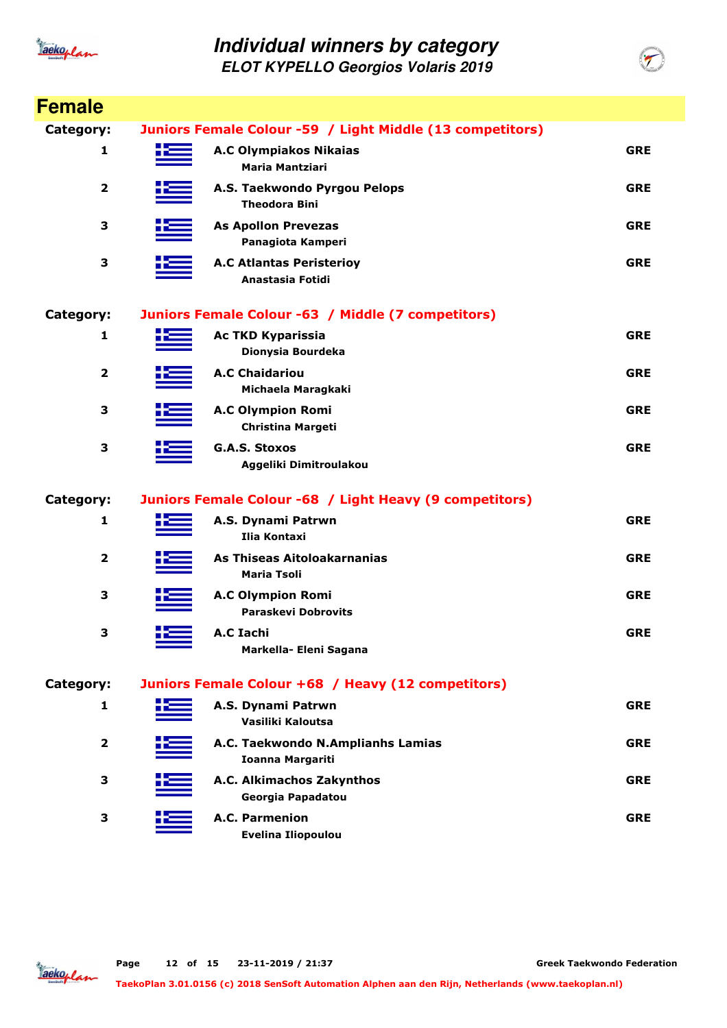

| <b>Female</b>    |     |                                                           |            |
|------------------|-----|-----------------------------------------------------------|------------|
| <b>Category:</b> |     | Juniors Female Colour -59 / Light Middle (13 competitors) |            |
| 1                |     | <b>A.C Olympiakos Nikaias</b><br><b>Maria Mantziari</b>   | <b>GRE</b> |
| 2                |     | A.S. Taekwondo Pyrgou Pelops<br><b>Theodora Bini</b>      | <b>GRE</b> |
| 3                |     | <b>As Apollon Prevezas</b><br>Panagiota Kamperi           | <b>GRE</b> |
| 3                |     | <b>A.C Atlantas Peristerioy</b><br>Anastasia Fotidi       | <b>GRE</b> |
| Category:        |     | Juniors Female Colour -63 / Middle (7 competitors)        |            |
| 1                |     | <b>Ac TKD Kyparissia</b><br>Dionysia Bourdeka             | <b>GRE</b> |
| $\overline{2}$   |     | <b>A.C Chaidariou</b><br>Michaela Maragkaki               | <b>GRE</b> |
| 3                |     | <b>A.C Olympion Romi</b><br><b>Christina Margeti</b>      | <b>GRE</b> |
| 3                |     | <b>G.A.S. Stoxos</b><br>Aggeliki Dimitroulakou            | <b>GRE</b> |
| Category:        |     | Juniors Female Colour -68 / Light Heavy (9 competitors)   |            |
| 1                |     | A.S. Dynami Patrwn<br><b>Ilia Kontaxi</b>                 | <b>GRE</b> |
| 2                |     | As Thiseas Aitoloakarnanias<br><b>Maria Tsoli</b>         | <b>GRE</b> |
| 3                |     | <b>A.C Olympion Romi</b><br><b>Paraskevi Dobrovits</b>    | <b>GRE</b> |
| 3                | ╈══ | A.C Iachi<br>Markella- Eleni Sagana                       | <b>GRE</b> |
| Category:        |     | Juniors Female Colour +68 / Heavy (12 competitors)        |            |
| 1                |     | A.S. Dynami Patrwn<br>Vasiliki Kaloutsa                   | <b>GRE</b> |
| $\mathbf{2}$     |     | A.C. Taekwondo N.Amplianhs Lamias<br>Ioanna Margariti     | <b>GRE</b> |
| 3                |     | A.C. Alkimachos Zakynthos<br>Georgia Papadatou            | <b>GRE</b> |
| 3                |     | A.C. Parmenion<br><b>Evelina Iliopoulou</b>               | <b>GRE</b> |

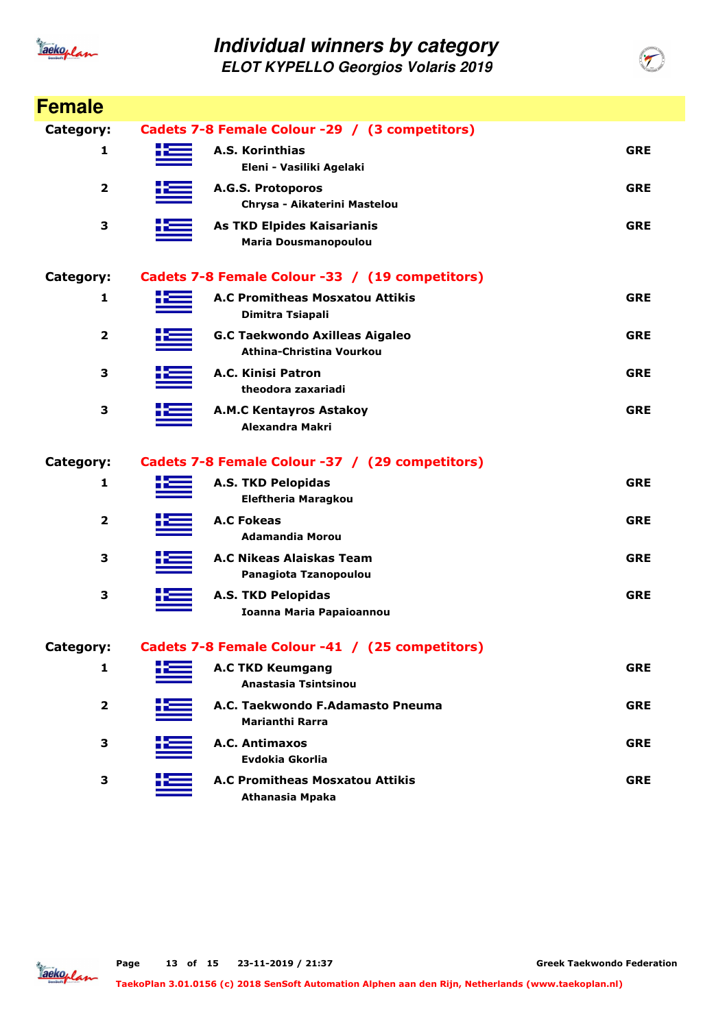

| <b>Female</b>           |                                                 |                                                                   |            |  |  |
|-------------------------|-------------------------------------------------|-------------------------------------------------------------------|------------|--|--|
| Category:               | Cadets 7-8 Female Colour -29 / (3 competitors)  |                                                                   |            |  |  |
| 1                       |                                                 | A.S. Korinthias<br>Eleni - Vasiliki Agelaki                       | <b>GRE</b> |  |  |
| $\overline{\mathbf{2}}$ |                                                 | A.G.S. Protoporos<br>Chrysa - Aikaterini Mastelou                 | <b>GRE</b> |  |  |
| 3                       |                                                 | <b>As TKD Elpides Kaisarianis</b><br><b>Maria Dousmanopoulou</b>  | <b>GRE</b> |  |  |
| Category:               | Cadets 7-8 Female Colour -33 / (19 competitors) |                                                                   |            |  |  |
| 1                       |                                                 | <b>A.C Promitheas Mosxatou Attikis</b><br>Dimitra Tsiapali        | <b>GRE</b> |  |  |
| 2                       |                                                 | <b>G.C Taekwondo Axilleas Aigaleo</b><br>Athina-Christina Vourkou | <b>GRE</b> |  |  |
| 3                       |                                                 | A.C. Kinisi Patron<br>theodora zaxariadi                          | <b>GRE</b> |  |  |
| 3                       |                                                 | <b>A.M.C Kentayros Astakoy</b><br>Alexandra Makri                 | <b>GRE</b> |  |  |
| Category:               |                                                 | Cadets 7-8 Female Colour -37 / (29 competitors)                   |            |  |  |
| 1                       |                                                 | <b>A.S. TKD Pelopidas</b><br><b>Eleftheria Maragkou</b>           | <b>GRE</b> |  |  |
| $\overline{2}$          |                                                 | <b>A.C Fokeas</b><br><b>Adamandia Morou</b>                       | <b>GRE</b> |  |  |
| 3                       |                                                 | A.C Nikeas Alaiskas Team<br>Panagiota Tzanopoulou                 | <b>GRE</b> |  |  |
| 3                       |                                                 | <b>A.S. TKD Pelopidas</b><br><b>Ioanna Maria Papaioannou</b>      | <b>GRE</b> |  |  |
| Category:               |                                                 | Cadets 7-8 Female Colour -41 / (25 competitors)                   |            |  |  |
| 1                       |                                                 | <b>A.C TKD Keumgang</b><br>Anastasia Tsintsinou                   | <b>GRE</b> |  |  |
| 2                       |                                                 | A.C. Taekwondo F.Adamasto Pneuma<br><b>Marianthi Rarra</b>        | <b>GRE</b> |  |  |
| 3                       |                                                 | A.C. Antimaxos<br>Evdokia Gkorlia                                 | <b>GRE</b> |  |  |
| 3                       |                                                 | <b>A.C Promitheas Mosxatou Attikis</b><br>Athanasia Mpaka         | <b>GRE</b> |  |  |

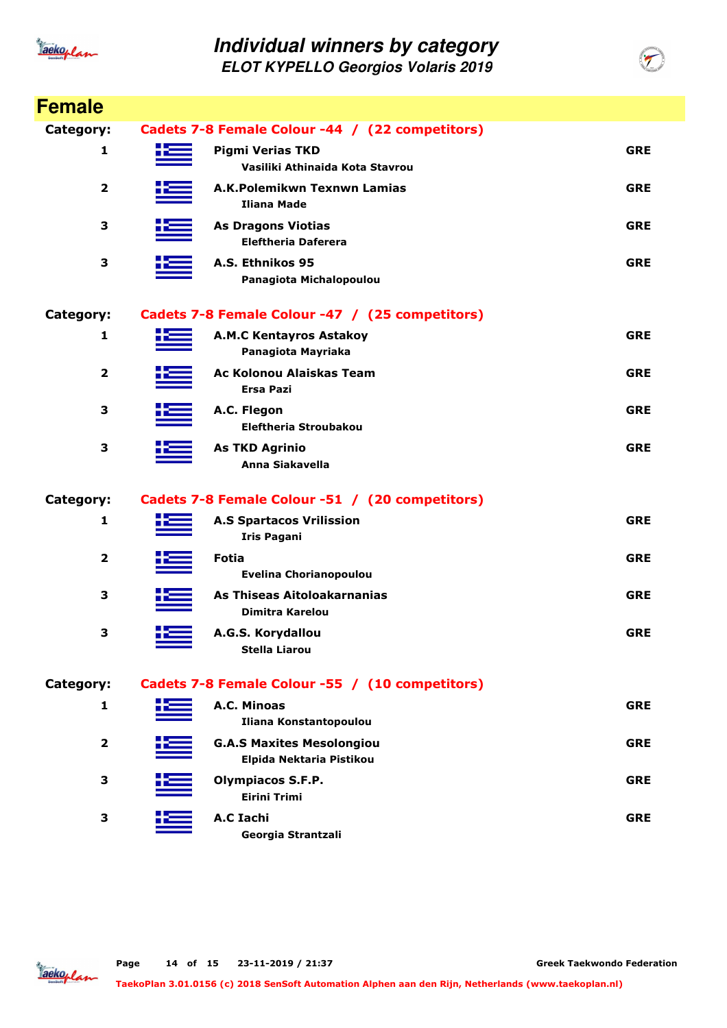

| <b>Female</b>           |       |                                                              |            |
|-------------------------|-------|--------------------------------------------------------------|------------|
| Category:               |       | Cadets 7-8 Female Colour -44 / (22 competitors)              |            |
| 1                       |       | <b>Pigmi Verias TKD</b><br>Vasiliki Athinaida Kota Stavrou   | <b>GRE</b> |
| $\mathbf{2}$            |       | A.K.Polemikwn Texnwn Lamias<br>Iliana Made                   | <b>GRE</b> |
| 3                       |       | <b>As Dragons Viotias</b><br><b>Eleftheria Daferera</b>      | <b>GRE</b> |
| 3                       |       | A.S. Ethnikos 95<br>Panagiota Michalopoulou                  | <b>GRE</b> |
| <b>Category:</b>        |       | Cadets 7-8 Female Colour -47 / (25 competitors)              |            |
| 1                       | کتر د | <b>A.M.C Kentayros Astakoy</b><br>Panagiota Mayriaka         | <b>GRE</b> |
| $\overline{\mathbf{2}}$ |       | Ac Kolonou Alaiskas Team<br><b>Ersa Pazi</b>                 | <b>GRE</b> |
| 3                       |       | A.C. Flegon<br>Eleftheria Stroubakou                         | <b>GRE</b> |
| 3                       |       | <b>As TKD Agrinio</b><br><b>Anna Siakavella</b>              | <b>GRE</b> |
| Category:               |       | Cadets 7-8 Female Colour -51 / (20 competitors)              |            |
| 1                       |       | <b>A.S Spartacos Vrilission</b><br><b>Iris Pagani</b>        | <b>GRE</b> |
| $\overline{\mathbf{2}}$ |       | <b>Fotia</b><br><b>Evelina Chorianopoulou</b>                | <b>GRE</b> |
| 3                       |       | As Thiseas Aitoloakarnanias<br>Dimitra Karelou               | <b>GRE</b> |
| 3                       |       | A.G.S. Korydallou<br><b>Stella Liarou</b>                    | <b>GRE</b> |
| Category:               |       | Cadets 7-8 Female Colour -55 / (10 competitors)              |            |
| 1                       |       | A.C. Minoas<br>Iliana Konstantopoulou                        | <b>GRE</b> |
| 2                       |       | <b>G.A.S Maxites Mesolongiou</b><br>Elpida Nektaria Pistikou | <b>GRE</b> |
| 3                       |       | Olympiacos S.F.P.<br><b>Eirini Trimi</b>                     | <b>GRE</b> |
| 3                       |       | <b>A.C Iachi</b><br>Georgia Strantzali                       | <b>GRE</b> |